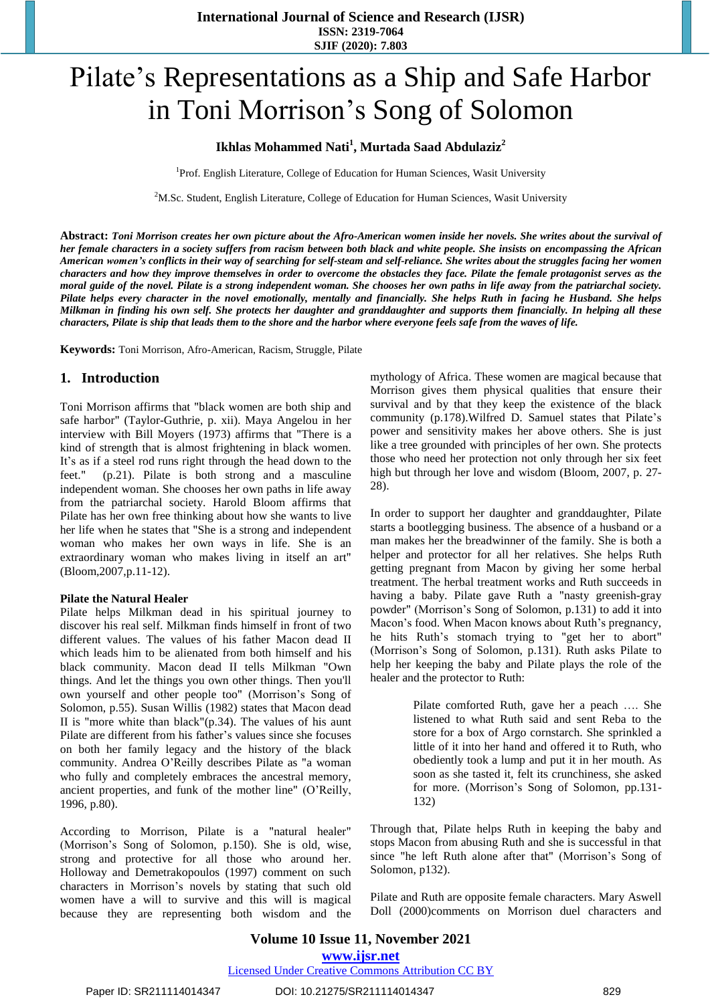# Pilate's Representations as a Ship and Safe Harbor in Toni Morrison's Song of Solomon

### **Ikhlas Mohammed Nati<sup>1</sup> , Murtada Saad Abdulaziz<sup>2</sup>**

<sup>1</sup>Prof. English Literature, College of Education for Human Sciences, Wasit University

 $2<sup>2</sup>M$ .Sc. Student, English Literature, College of Education for Human Sciences, Wasit University

Abstract: Toni Morrison creates her own picture about the Afro-American women inside her novels. She writes about the survival of her female characters in a society suffers from racism between both black and white people. She insists on encompassing the African American women's conflicts in their way of searching for self-steam and self-reliance. She writes about the struggles facing her women characters and how they improve themselves in order to overcome the obstacles they face. Pilate the female protagonist serves as the moral guide of the novel. Pilate is a strong independent woman. She chooses her own paths in life away from the patriarchal society. Pilate helps every character in the novel emotionally, mentally and financially. She helps Ruth in facing he Husband. She helps Milkman in finding his own self. She protects her daughter and granddaughter and supports them financially. In helping all these characters, Pilate is ship that leads them to the shore and the harbor where everyone feels safe from the waves of life.

**Keywords:** Toni Morrison, Afro-American, Racism, Struggle, Pilate

#### **1. Introduction**

Toni Morrison affirms that "black women are both ship and safe harbor" (Taylor-Guthrie, p. xii). Maya Angelou in her interview with Bill Moyers (1973) affirms that "There is a kind of strength that is almost frightening in black women. It's as if a steel rod runs right through the head down to the feet." (p.21). Pilate is both strong and a masculine independent woman. She chooses her own paths in life away from the patriarchal society. Harold Bloom affirms that Pilate has her own free thinking about how she wants to live her life when he states that "She is a strong and independent woman who makes her own ways in life. She is an extraordinary woman who makes living in itself an art" (Bloom,2007,p.11-12).

#### **Pilate the Natural Healer**

Pilate helps Milkman dead in his spiritual journey to discover his real self. Milkman finds himself in front of two different values. The values of his father Macon dead II which leads him to be alienated from both himself and his black community. Macon dead II tells Milkman "Own things. And let the things you own other things. Then you'll own yourself and other people too" (Morrison's Song of Solomon, p.55). Susan Willis (1982) states that Macon dead II is "more white than black" $(p.34)$ . The values of his aunt Pilate are different from his father's values since she focuses on both her family legacy and the history of the black community. Andrea O'Reilly describes Pilate as "a woman who fully and completely embraces the ancestral memory, ancient properties, and funk of the mother line" (O'Reilly, 1996, p.80).

According to Morrison, Pilate is a "natural healer" (Morrison's Song of Solomon, p.150). She is old, wise, strong and protective for all those who around her. Holloway and Demetrakopoulos (1997) comment on such characters in Morrison's novels by stating that such old women have a will to survive and this will is magical because they are representing both wisdom and the mythology of Africa. These women are magical because that Morrison gives them physical qualities that ensure their survival and by that they keep the existence of the black community (p.178).Wilfred D. Samuel states that Pilate's power and sensitivity makes her above others. She is just like a tree grounded with principles of her own. She protects those who need her protection not only through her six feet high but through her love and wisdom (Bloom, 2007, p. 27- 28).

In order to support her daughter and granddaughter, Pilate starts a bootlegging business. The absence of a husband or a man makes her the breadwinner of the family. She is both a helper and protector for all her relatives. She helps Ruth getting pregnant from Macon by giving her some herbal treatment. The herbal treatment works and Ruth succeeds in having a baby. Pilate gave Ruth a "nasty greenish-gray powder" (Morrison's Song of Solomon, p.131) to add it into Macon's food. When Macon knows about Ruth's pregnancy, he hits Ruth's stomach trying to "get her to abort" (Morrison's Song of Solomon, p.131). Ruth asks Pilate to help her keeping the baby and Pilate plays the role of the healer and the protector to Ruth:

> Pilate comforted Ruth, gave her a peach …. She listened to what Ruth said and sent Reba to the store for a box of Argo cornstarch. She sprinkled a little of it into her hand and offered it to Ruth, who obediently took a lump and put it in her mouth. As soon as she tasted it, felt its crunchiness, she asked for more. (Morrison's Song of Solomon, pp.131- 132)

Through that, Pilate helps Ruth in keeping the baby and stops Macon from abusing Ruth and she is successful in that since "he left Ruth alone after that" (Morrison's Song of Solomon, p132).

Pilate and Ruth are opposite female characters. Mary Aswell Doll (2000)comments on Morrison duel characters and